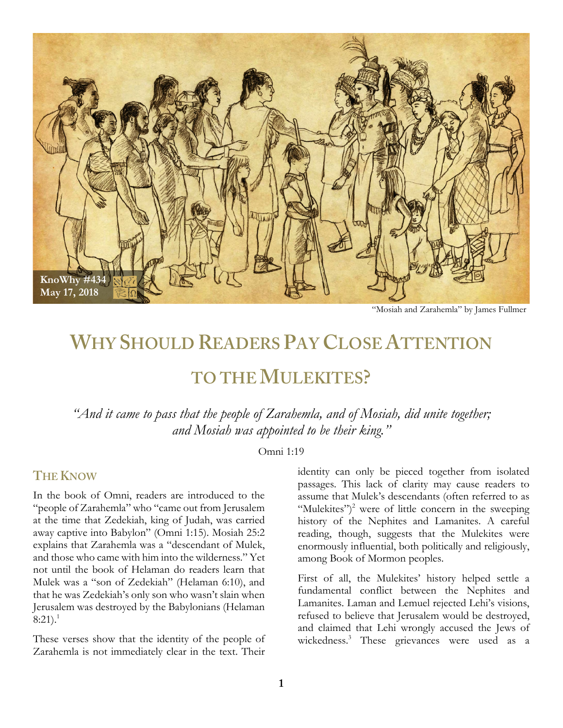

"Mosiah and Zarahemla" by James Fullmer

# **WHY SHOULD READERS PAY CLOSE ATTENTION**

## **TO THE MULEKITES?**

*"And it came to pass that the people of Zarahemla, and of Mosiah, did unite together; and Mosiah was appointed to be their king."*

#### Omni 1:19

#### **THE KNOW**

In the book of Omni, readers are introduced to the "people of Zarahemla" who "came out from Jerusalem at the time that Zedekiah, king of Judah, was carried away captive into Babylon" (Omni 1:15). Mosiah 25:2 explains that Zarahemla was a "descendant of Mulek, and those who came with him into the wilderness." Yet not until the book of Helaman do readers learn that Mulek was a "son of Zedekiah" (Helaman 6:10), and that he was Zedekiah's only son who wasn't slain when Jerusalem was destroyed by the Babylonians (Helaman  $8:21$ ).<sup>1</sup>

These verses show that the identity of the people of Zarahemla is not immediately clear in the text. Their

identity can only be pieced together from isolated passages. This lack of clarity may cause readers to assume that Mulek's descendants (often referred to as "Mulekites")<sup>2</sup> were of little concern in the sweeping history of the Nephites and Lamanites. A careful reading, though, suggests that the Mulekites were enormously influential, both politically and religiously, among Book of Mormon peoples.

First of all, the Mulekites' history helped settle a fundamental conflict between the Nephites and Lamanites. Laman and Lemuel rejected Lehi's visions, refused to believe that Jerusalem would be destroyed, and claimed that Lehi wrongly accused the Jews of wickedness.<sup>3</sup> These grievances were used as a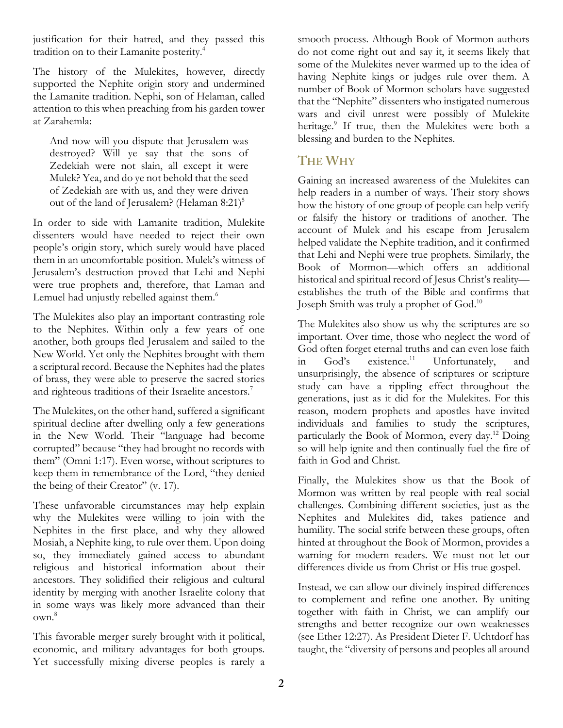justification for their hatred, and they passed this tradition on to their Lamanite posterity.4

The history of the Mulekites, however, directly supported the Nephite origin story and undermined the Lamanite tradition. Nephi, son of Helaman, called attention to this when preaching from his garden tower at Zarahemla:

And now will you dispute that Jerusalem was destroyed? Will ye say that the sons of Zedekiah were not slain, all except it were Mulek? Yea, and do ye not behold that the seed of Zedekiah are with us, and they were driven out of the land of Jerusalem? (Helaman 8:21)<sup>5</sup>

In order to side with Lamanite tradition, Mulekite dissenters would have needed to reject their own people's origin story, which surely would have placed them in an uncomfortable position. Mulek's witness of Jerusalem's destruction proved that Lehi and Nephi were true prophets and, therefore, that Laman and Lemuel had unjustly rebelled against them.<sup>6</sup>

The Mulekites also play an important contrasting role to the Nephites. Within only a few years of one another, both groups fled Jerusalem and sailed to the New World. Yet only the Nephites brought with them a scriptural record. Because the Nephites had the plates of brass, they were able to preserve the sacred stories and righteous traditions of their Israelite ancestors.<sup>7</sup>

The Mulekites, on the other hand, suffered a significant spiritual decline after dwelling only a few generations in the New World. Their "language had become corrupted" because "they had brought no records with them" (Omni 1:17). Even worse, without scriptures to keep them in remembrance of the Lord, "they denied the being of their Creator" (v. 17).

These unfavorable circumstances may help explain why the Mulekites were willing to join with the Nephites in the first place, and why they allowed Mosiah, a Nephite king, to rule over them. Upon doing so, they immediately gained access to abundant religious and historical information about their ancestors. They solidified their religious and cultural identity by merging with another Israelite colony that in some ways was likely more advanced than their own.8

This favorable merger surely brought with it political, economic, and military advantages for both groups. Yet successfully mixing diverse peoples is rarely a smooth process. Although Book of Mormon authors do not come right out and say it, it seems likely that some of the Mulekites never warmed up to the idea of having Nephite kings or judges rule over them. A number of Book of Mormon scholars have suggested that the "Nephite" dissenters who instigated numerous wars and civil unrest were possibly of Mulekite heritage.<sup>9</sup> If true, then the Mulekites were both a blessing and burden to the Nephites.

### **THE WHY**

Gaining an increased awareness of the Mulekites can help readers in a number of ways. Their story shows how the history of one group of people can help verify or falsify the history or traditions of another. The account of Mulek and his escape from Jerusalem helped validate the Nephite tradition, and it confirmed that Lehi and Nephi were true prophets. Similarly, the Book of Mormon—which offers an additional historical and spiritual record of Jesus Christ's reality establishes the truth of the Bible and confirms that Joseph Smith was truly a prophet of God.10

The Mulekites also show us why the scriptures are so important. Over time, those who neglect the word of God often forget eternal truths and can even lose faith in God's existence.<sup>11</sup> Unfortunately, and unsurprisingly, the absence of scriptures or scripture study can have a rippling effect throughout the generations, just as it did for the Mulekites. For this reason, modern prophets and apostles have invited individuals and families to study the scriptures, particularly the Book of Mormon, every day.12 Doing so will help ignite and then continually fuel the fire of faith in God and Christ.

Finally, the Mulekites show us that the Book of Mormon was written by real people with real social challenges. Combining different societies, just as the Nephites and Mulekites did, takes patience and humility. The social strife between these groups, often hinted at throughout the Book of Mormon, provides a warning for modern readers. We must not let our differences divide us from Christ or His true gospel.

Instead, we can allow our divinely inspired differences to complement and refine one another. By uniting together with faith in Christ, we can amplify our strengths and better recognize our own weaknesses (see Ether 12:27). As President Dieter F. Uchtdorf has taught, the "diversity of persons and peoples all around